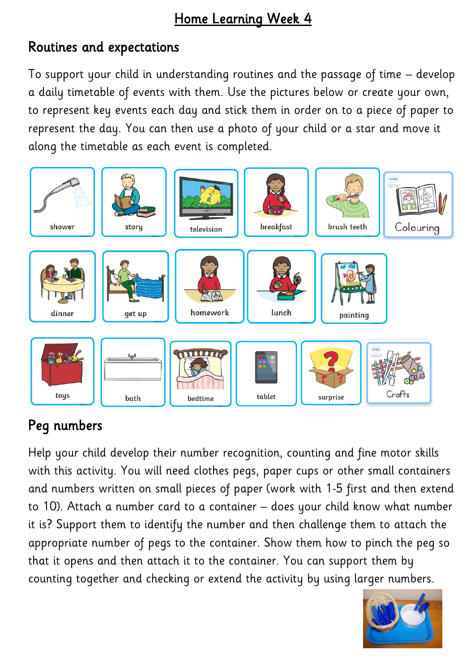# Home Learning Week 4

# Routines and expectations

To support your child in understanding routines and the passage of time – develop a daily timetable of events with them. Use the pictures below or create your own, to represent key events each day and stick them in order on to a piece of paper to represent the day. You can then use a photo of your child or a star and move it along the timetable as each event is completed.



# Peg numbers

Help your child develop their number recognition, counting and fine motor skills with this activity. You will need clothes pegs, paper cups or other small containers and numbers written on small pieces of paper (work with 1-5 first and then extend to 10). Attach a number card to a container – does your child know what number it is? Support them to identify the number and then challenge them to attach the appropriate number of pegs to the container. Show them how to pinch the peg so that it opens and then attach it to the container. You can support them by counting together and checking or extend the activity by using larger numbers.